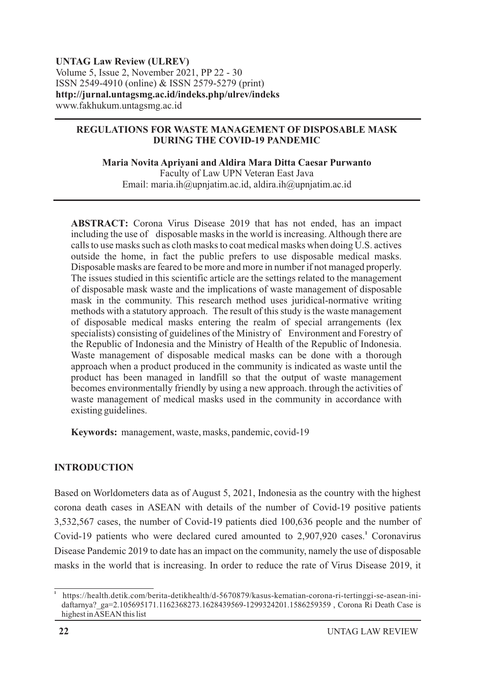#### **UNTAG Law Review (ULREV)** Volume 5, Issue 2, November 2021, PP 22 - 30 ISSN 2549-4910 (online) & ISSN 2579-5279 (print) **http://jurnal.untagsmg.ac.id/indeks.php/ulrev/indeks** www.fakhukum.untagsmg.ac.id

#### **REGULATIONS FOR WASTE MANAGEMENT OF DISPOSABLE MASK DURING THE COVID-19 PANDEMIC**

**Maria Novita Apriyani and Aldira Mara Ditta Caesar Purwanto**

Faculty of Law UPN Veteran East Java Email: maria.ih@upnjatim.ac.id, aldira.ih@upnjatim.ac.id

**ABSTRACT:** Corona Virus Disease 2019 that has not ended, has an impact including the use of disposable masks in the world is increasing. Although there are calls to use masks such as cloth masks to coat medical masks when doing U.S. actives outside the home, in fact the public prefers to use disposable medical masks. Disposable masks are feared to be more and more in number if not managed properly. The issues studied in this scientific article are the settings related to the management of disposable mask waste and the implications of waste management of disposable mask in the community. This research method uses juridical-normative writing methods with a statutory approach. The result of this study is the waste management of disposable medical masks entering the realm of special arrangements (lex specialists) consisting of guidelines of the Ministry of Environment and Forestry of the Republic of Indonesia and the Ministry of Health of the Republic of Indonesia. Waste management of disposable medical masks can be done with a thorough approach when a product produced in the community is indicated as waste until the product has been managed in landfill so that the output of waste management becomes environmentally friendly by using a new approach. through the activities of waste management of medical masks used in the community in accordance with existing guidelines.

**Keywords:** management, waste, masks, pandemic, covid-19

## **INTRODUCTION**

Based on Worldometers data as of August 5, 2021, Indonesia as the country with the highest corona death cases in ASEAN with details of the number of Covid-19 positive patients 3,532,567 cases, the number of Covid-19 patients died 100,636 people and the number of Covid-19 patients who were declared cured amounted to 2,907,920 cases.<sup>1</sup> Coronavirus Disease Pandemic 2019 to date has an impact on the community, namely the use of disposable masks in the world that is increasing. In order to reduce the rate of Virus Disease 2019, it

**1**

https://health.detik.com/berita-detikhealth/d-5670879/kasus-kematian-corona-ri-tertinggi-se-asean-inidaftarnya? ga=2.105695171.1162368273.1628439569-1299324201.1586259359 , Corona Ri Death Case is highest in ASEAN this list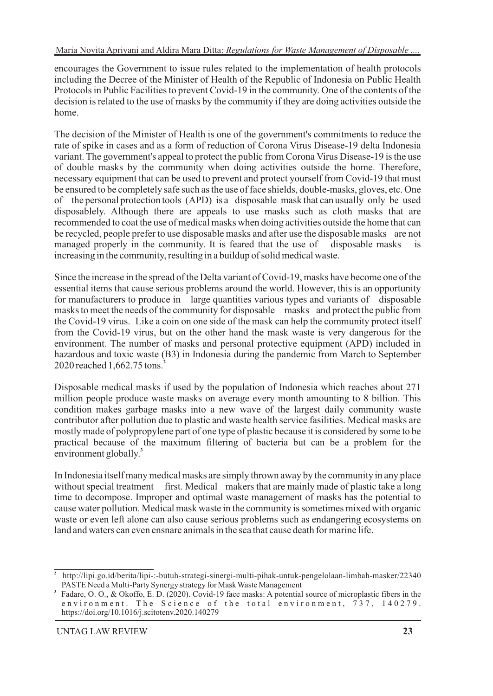encourages the Government to issue rules related to the implementation of health protocols including the Decree of the Minister of Health of the Republic of Indonesia on Public Health Protocols in Public Facilities to prevent Covid-19 in the community. One of the contents of the decision is related to the use of masks by the community if they are doing activities outside the home.

The decision of the Minister of Health is one of the government's commitments to reduce the rate of spike in cases and as a form of reduction of Corona Virus Disease-19 delta Indonesia variant. The government's appeal to protect the public from Corona Virus Disease-19 is the use of double masks by the community when doing activities outside the home. Therefore, necessary equipment that can be used to prevent and protect yourself from Covid-19 that must be ensured to be completely safe such as the use of face shields, double-masks, gloves, etc. One of the personal protection tools (APD) is a disposable mask that can usually only be used disposablely. Although there are appeals to use masks such as cloth masks that are recommended to coat the use of medical masks when doing activities outside the home that can be recycled, people prefer to use disposable masks and after use the disposable masks are not managed properly in the community. It is feared that the use of disposable masks is increasing in the community, resulting in a buildup of solid medical waste.

Since the increase in the spread of the Delta variant of Covid-19, masks have become one of the essential items that cause serious problems around the world. However, this is an opportunity for manufacturers to produce in large quantities various types and variants of disposable masks to meet the needs of the community for disposable masks and protect the public from the Covid-19 virus. Like a coin on one side of the mask can help the community protect itself from the Covid-19 virus, but on the other hand the mask waste is very dangerous for the environment. The number of masks and personal protective equipment (APD) included in hazardous and toxic waste (B3) in Indonesia during the pandemic from March to September **2** 2020 reached 1,662.75 tons.

Disposable medical masks if used by the population of Indonesia which reaches about 271 million people produce waste masks on average every month amounting to 8 billion. This condition makes garbage masks into a new wave of the largest daily community waste contributor after pollution due to plastic and waste health service fasilities. Medical masks are mostly made of polypropylene part of one type of plastic because it is considered by some to be practical because of the maximum filtering of bacteria but can be a problem for the **3** environment globally.

In Indonesia itself many medical masks are simply thrown away by the community in any place without special treatment first. Medical makers that are mainly made of plastic take a long time to decompose. Improper and optimal waste management of masks has the potential to cause water pollution. Medical mask waste in the community is sometimes mixed with organic waste or even left alone can also cause serious problems such as endangering ecosystems on land and waters can even ensnare animals in the sea that cause death for marine life.

**<sup>2</sup>** http://lipi.go.id/berita/lipi-:-butuh-strategi-sinergi-multi-pihak-untuk-pengelolaan-limbah-masker/22340 PASTE Need a Multi-Party Synergy strategy for Mask Waste Management

**<sup>3</sup>** Fadare, O. O., & Okoffo, E. D. (2020). Covid-19 face masks: A potential source of microplastic fibers in the environment. The Science of the total environment, 737, 140279. https://doi.org/10.1016/j.scitotenv.2020.140279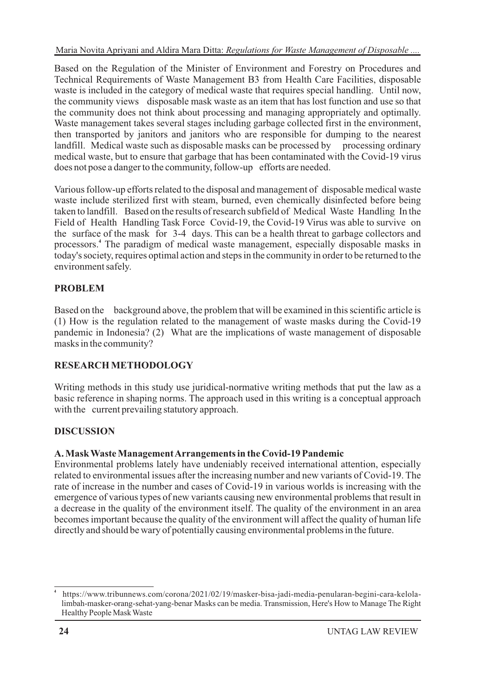Based on the Regulation of the Minister of Environment and Forestry on Procedures and Technical Requirements of Waste Management B3 from Health Care Facilities, disposable waste is included in the category of medical waste that requires special handling. Until now, the community views disposable mask waste as an item that has lost function and use so that the community does not think about processing and managing appropriately and optimally. Waste management takes several stages including garbage collected first in the environment, then transported by janitors and janitors who are responsible for dumping to the nearest landfill. Medical waste such as disposable masks can be processed by processing ordinary medical waste, but to ensure that garbage that has been contaminated with the Covid-19 virus does not pose a danger to the community, follow-up efforts are needed.

Various follow-up efforts related to the disposal and management of disposable medical waste waste include sterilized first with steam, burned, even chemically disinfected before being taken to landfill. Based on the results of research subfield of Medical Waste Handling In the Field of Health Handling Task Force Covid-19, the Covid-19 Virus was able to survive on the surface of the mask for 3-4 days. This can be a health threat to garbage collectors and processors.<sup>4</sup> The paradigm of medical waste management, especially disposable masks in today's society, requires optimal action and steps in the community in order to be returned to the environment safely.

# **PROBLEM**

Based on the background above, the problem that will be examined in this scientific article is (1) How is the regulation related to the management of waste masks during the Covid-19 pandemic in Indonesia? (2) What are the implications of waste management of disposable masks in the community?

## **RESEARCH METHODOLOGY**

Writing methods in this study use juridical-normative writing methods that put the law as a basic reference in shaping norms. The approach used in this writing is a conceptual approach with the current prevailing statutory approach.

# **DISCUSSION**

## **A. Mask Waste Management Arrangements in the Covid-19 Pandemic**

Environmental problems lately have undeniably received international attention, especially related to environmental issues after the increasing number and new variants of Covid-19. The rate of increase in the number and cases of Covid-19 in various worlds is increasing with the emergence of various types of new variants causing new environmental problems that result in a decrease in the quality of the environment itself. The quality of the environment in an area becomes important because the quality of the environment will affect the quality of human life directly and should be wary of potentially causing environmental problems in the future.

**<sup>4</sup>** https://www.tribunnews.com/corona/2021/02/19/masker-bisa-jadi-media-penularan-begini-cara-kelolalimbah-masker-orang-sehat-yang-benar Masks can be media. Transmission, Here's How to Manage The Right Healthy People Mask Waste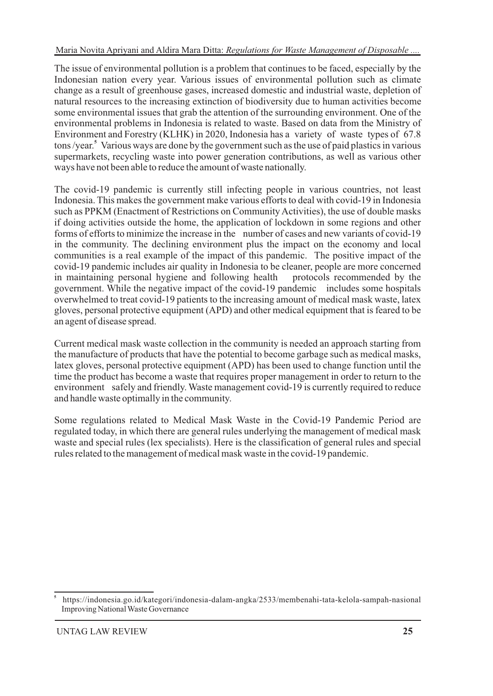The issue of environmental pollution is a problem that continues to be faced, especially by the Indonesian nation every year. Various issues of environmental pollution such as climate change as a result of greenhouse gases, increased domestic and industrial waste, depletion of natural resources to the increasing extinction of biodiversity due to human activities become some environmental issues that grab the attention of the surrounding environment. One of the environmental problems in Indonesia is related to waste. Based on data from the Ministry of Environment and Forestry (KLHK) in 2020, Indonesia has a variety of waste types of 67.8 tons /year.<sup>5</sup> Various ways are done by the government such as the use of paid plastics in various supermarkets, recycling waste into power generation contributions, as well as various other ways have not been able to reduce the amount of waste nationally.

The covid-19 pandemic is currently still infecting people in various countries, not least Indonesia. This makes the government make various efforts to deal with covid-19 in Indonesia such as PPKM (Enactment of Restrictions on Community Activities), the use of double masks if doing activities outside the home, the application of lockdown in some regions and other forms of efforts to minimize the increase in the number of cases and new variants of covid-19 in the community. The declining environment plus the impact on the economy and local communities is a real example of the impact of this pandemic. The positive impact of the covid-19 pandemic includes air quality in Indonesia to be cleaner, people are more concerned<br>in maintaining personal hygiene and following health protocols recommended by the in maintaining personal hygiene and following health government. While the negative impact of the covid-19 pandemic includes some hospitals overwhelmed to treat covid-19 patients to the increasing amount of medical mask waste, latex gloves, personal protective equipment (APD) and other medical equipment that is feared to be an agent of disease spread.

Current medical mask waste collection in the community is needed an approach starting from the manufacture of products that have the potential to become garbage such as medical masks, latex gloves, personal protective equipment (APD) has been used to change function until the time the product has become a waste that requires proper management in order to return to the environment safely and friendly. Waste management covid-19 is currently required to reduce and handle waste optimally in the community.

Some regulations related to Medical Mask Waste in the Covid-19 Pandemic Period are regulated today, in which there are general rules underlying the management of medical mask waste and special rules (lex specialists). Here is the classification of general rules and special rules related to the management of medical mask waste in the covid-19 pandemic.

**<sup>5</sup>** https://indonesia.go.id/kategori/indonesia-dalam-angka/2533/membenahi-tata-kelola-sampah-nasional Improving National Waste Governance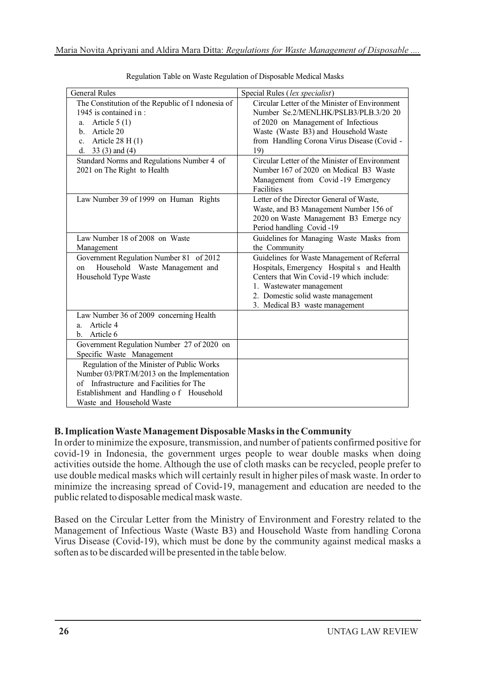| <b>General Rules</b>                              | Special Rules (lex specialist)                 |
|---------------------------------------------------|------------------------------------------------|
| The Constitution of the Republic of I ndonesia of | Circular Letter of the Minister of Environment |
| 1945 is contained in:                             | Number Se.2/MENLHK/PSLB3/PLB.3/20 20           |
| Article $5(1)$<br>a.                              | of 2020 on Management of Infectious            |
| b. Article 20                                     | Waste (Waste B3) and Household Waste           |
| Article $28 H(1)$<br>$c_{\cdot}$                  | from Handling Corona Virus Disease (Covid -    |
| d. $33(3)$ and (4)                                | 19)                                            |
| Standard Norms and Regulations Number 4 of        | Circular Letter of the Minister of Environment |
| 2021 on The Right to Health                       | Number 167 of 2020 on Medical B3 Waste         |
|                                                   | Management from Covid-19 Emergency             |
|                                                   | <b>Facilities</b>                              |
| Law Number 39 of 1999 on Human Rights             | Letter of the Director General of Waste,       |
|                                                   | Waste, and B3 Management Number 156 of         |
|                                                   | 2020 on Waste Management B3 Emerge ncy         |
|                                                   | Period handling Covid-19                       |
| Law Number 18 of 2008 on Waste                    | Guidelines for Managing Waste Masks from       |
| Management                                        | the Community                                  |
| Government Regulation Number 81 of 2012           | Guidelines for Waste Management of Referral    |
| Household Waste Management and<br>on              | Hospitals, Emergency Hospital s and Health     |
| Household Type Waste                              | Centers that Win Covid-19 which include:       |
|                                                   | 1. Wastewater management                       |
|                                                   | 2. Domestic solid waste management             |
|                                                   | 3. Medical B3 waste management                 |
| Law Number 36 of 2009 concerning Health           |                                                |
| Article 4<br>a.                                   |                                                |
| Article 6<br>b.                                   |                                                |
| Government Regulation Number 27 of 2020 on        |                                                |
| Specific Waste Management                         |                                                |
| Regulation of the Minister of Public Works        |                                                |
| Number 03/PRT/M/2013 on the Implementation        |                                                |
| of Infrastructure and Facilities for The          |                                                |
| Establishment and Handling of Household           |                                                |
| Waste and Household Waste                         |                                                |

Regulation Table on Waste Regulation of Disposable Medical Masks

## **B. Implication Waste Management Disposable Masks in the Community**

In order to minimize the exposure, transmission, and number of patients confirmed positive for covid-19 in Indonesia, the government urges people to wear double masks when doing activities outside the home. Although the use of cloth masks can be recycled, people prefer to use double medical masks which will certainly result in higher piles of mask waste. In order to minimize the increasing spread of Covid-19, management and education are needed to the public related to disposable medical mask waste.

Based on the Circular Letter from the Ministry of Environment and Forestry related to the Management of Infectious Waste (Waste B3) and Household Waste from handling Corona Virus Disease (Covid-19), which must be done by the community against medical masks a soften as to be discarded will be presented in the table below.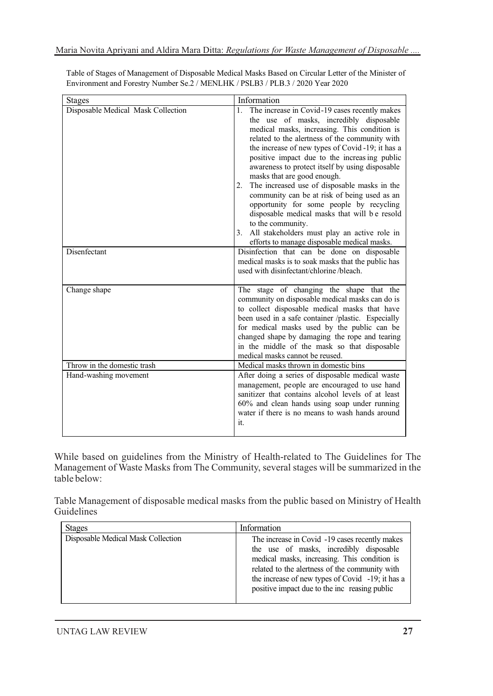| <b>Stages</b>                      | Information                                                                                                                                                                                                                                                                                                                                                                                                                                                                                                                                                                                                                                                                                                    |
|------------------------------------|----------------------------------------------------------------------------------------------------------------------------------------------------------------------------------------------------------------------------------------------------------------------------------------------------------------------------------------------------------------------------------------------------------------------------------------------------------------------------------------------------------------------------------------------------------------------------------------------------------------------------------------------------------------------------------------------------------------|
| Disposable Medical Mask Collection | The increase in Covid-19 cases recently makes<br>1.<br>the use of masks, incredibly disposable<br>medical masks, increasing. This condition is<br>related to the alertness of the community with<br>the increase of new types of Covid-19; it has a<br>positive impact due to the increasing public<br>awareness to protect itself by using disposable<br>masks that are good enough.<br>The increased use of disposable masks in the<br>2.<br>community can be at risk of being used as an<br>opportunity for some people by recycling<br>disposable medical masks that will be resold<br>to the community.<br>3. All stakeholders must play an active role in<br>efforts to manage disposable medical masks. |
| Disenfectant                       | Disinfection that can be done on disposable<br>medical masks is to soak masks that the public has<br>used with disinfectant/chlorine/bleach.                                                                                                                                                                                                                                                                                                                                                                                                                                                                                                                                                                   |
| Change shape                       | The stage of changing the shape that the<br>community on disposable medical masks can do is<br>to collect disposable medical masks that have<br>been used in a safe container /plastic. Especially<br>for medical masks used by the public can be<br>changed shape by damaging the rope and tearing<br>in the middle of the mask so that disposable<br>medical masks cannot be reused.                                                                                                                                                                                                                                                                                                                         |
| Throw in the domestic trash        | Medical masks thrown in domestic bins                                                                                                                                                                                                                                                                                                                                                                                                                                                                                                                                                                                                                                                                          |
| Hand-washing movement              | After doing a series of disposable medical waste<br>management, people are encouraged to use hand<br>sanitizer that contains alcohol levels of at least<br>60% and clean hands using soap under running<br>water if there is no means to wash hands around<br>it.                                                                                                                                                                                                                                                                                                                                                                                                                                              |

Table of Stages of Management of Disposable Medical Masks Based on Circular Letter of the Minister of Environment and Forestry Number Se.2 / MENLHK / PSLB3 / PLB.3 / 2020 Year 2020

While based on guidelines from the Ministry of Health-related to The Guidelines for The Management of Waste Masks from The Community, several stages will be summarized in the table below:

Table Management of disposable medical masks from the public based on Ministry of Health Guidelines

| <b>Stages</b>                      | Information                                                                                                                                                                                                                                                                                      |
|------------------------------------|--------------------------------------------------------------------------------------------------------------------------------------------------------------------------------------------------------------------------------------------------------------------------------------------------|
| Disposable Medical Mask Collection | The increase in Covid -19 cases recently makes<br>the use of masks, incredibly disposable<br>medical masks, increasing. This condition is<br>related to the alertness of the community with<br>the increase of new types of Covid -19; it has a<br>positive impact due to the inc reasing public |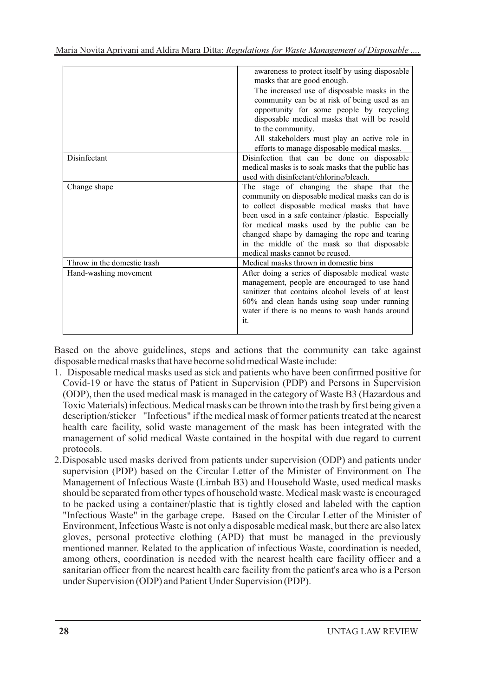|                             | awareness to protect itself by using disposable<br>masks that are good enough.<br>The increased use of disposable masks in the<br>community can be at risk of being used as an<br>opportunity for some people by recycling<br>disposable medical masks that will be resold<br>to the community.<br>All stakeholders must play an active role in<br>efforts to manage disposable medical masks. |
|-----------------------------|------------------------------------------------------------------------------------------------------------------------------------------------------------------------------------------------------------------------------------------------------------------------------------------------------------------------------------------------------------------------------------------------|
| Disinfectant                | Disinfection that can be done on disposable<br>medical masks is to soak masks that the public has<br>used with disinfectant/chlorine/bleach.                                                                                                                                                                                                                                                   |
| Change shape                | The stage of changing the shape that the<br>community on disposable medical masks can do is<br>to collect disposable medical masks that have<br>been used in a safe container /plastic. Especially<br>for medical masks used by the public can be<br>changed shape by damaging the rope and tearing<br>in the middle of the mask so that disposable<br>medical masks cannot be reused.         |
| Throw in the domestic trash | Medical masks thrown in domestic bins                                                                                                                                                                                                                                                                                                                                                          |
| Hand-washing movement       | After doing a series of disposable medical waste<br>management, people are encouraged to use hand<br>sanitizer that contains alcohol levels of at least<br>60% and clean hands using soap under running<br>water if there is no means to wash hands around<br>it.                                                                                                                              |

Based on the above guidelines, steps and actions that the community can take against disposable medical masks that have become solid medical Waste include:

- 1. Disposable medical masks used as sick and patients who have been confirmed positive for Covid-19 or have the status of Patient in Supervision (PDP) and Persons in Supervision (ODP), then the used medical mask is managed in the category of Waste B3 (Hazardous and Toxic Materials) infectious. Medical masks can be thrown into the trash by first being given a description/sticker "Infectious" if the medical mask of former patients treated at the nearest health care facility, solid waste management of the mask has been integrated with the management of solid medical Waste contained in the hospital with due regard to current protocols.
- 2. Disposable used masks derived from patients under supervision (ODP) and patients under supervision (PDP) based on the Circular Letter of the Minister of Environment on The Management of Infectious Waste (Limbah B3) and Household Waste, used medical masks should be separated from other types of household waste. Medical mask waste is encouraged to be packed using a container/plastic that is tightly closed and labeled with the caption "Infectious Waste" in the garbage crepe. Based on the Circular Letter of the Minister of Environment, Infectious Waste is not only a disposable medical mask, but there are also latex gloves, personal protective clothing (APD) that must be managed in the previously mentioned manner. Related to the application of infectious Waste, coordination is needed, among others, coordination is needed with the nearest health care facility officer and a sanitarian officer from the nearest health care facility from the patient's area who is a Person under Supervision (ODP) and Patient Under Supervision (PDP).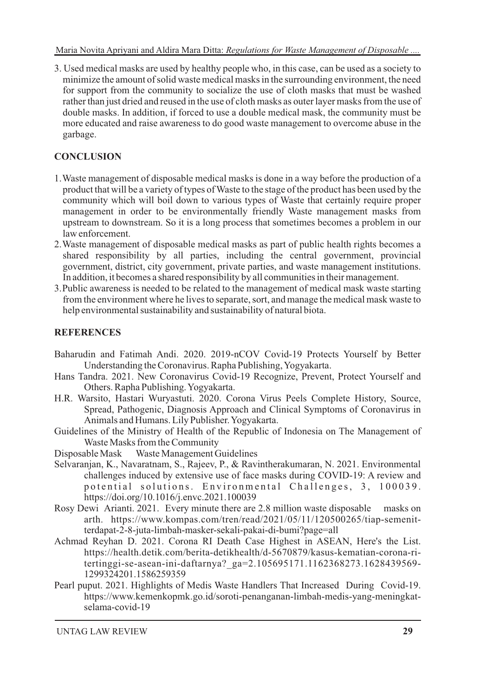3. Used medical masks are used by healthy people who, in this case, can be used as a society to minimize the amount of solid waste medical masks in the surrounding environment, the need for support from the community to socialize the use of cloth masks that must be washed rather than just dried and reused in the use of cloth masks as outer layer masks from the use of double masks. In addition, if forced to use a double medical mask, the community must be more educated and raise awareness to do good waste management to overcome abuse in the garbage.

## **CONCLUSION**

- 1. Waste management of disposable medical masks is done in a way before the production of a product that will be a variety of types of Waste to the stage of the product has been used by the community which will boil down to various types of Waste that certainly require proper management in order to be environmentally friendly Waste management masks from upstream to downstream. So it is a long process that sometimes becomes a problem in our law enforcement.
- 2. Waste management of disposable medical masks as part of public health rights becomes a shared responsibility by all parties, including the central government, provincial government, district, city government, private parties, and waste management institutions. In addition, it becomes a shared responsibility by all communities in their management.
- 3. Public awareness is needed to be related to the management of medical mask waste starting from the environment where he lives to separate, sort, and manage the medical mask waste to help environmental sustainability and sustainability of natural biota.

#### **REFERENCES**

- Baharudin and Fatimah Andi. 2020. 2019-nCOV Covid-19 Protects Yourself by Better Understanding the Coronavirus. Rapha Publishing, Yogyakarta.
- Hans Tandra. 2021. New Coronavirus Covid-19 Recognize, Prevent, Protect Yourself and Others. Rapha Publishing. Yogyakarta.
- H.R. Warsito, Hastari Wuryastuti. 2020. Corona Virus Peels Complete History, Source, Spread, Pathogenic, Diagnosis Approach and Clinical Symptoms of Coronavirus in Animals and Humans. Lily Publisher. Yogyakarta.
- Guidelines of the Ministry of Health of the Republic of Indonesia on The Management of Waste Masks from the Community
- Disposable Mask Waste Management Guidelines
- Selvaranjan, K., Navaratnam, S., Rajeev, P., & Ravintherakumaran, N. 2021. Environmental challenges induced by extensive use of face masks during COVID-19: A review and potential solutions. Environmental Challenges, 3, 100039. https://doi.org/10.1016/j.envc.2021.100039
- Rosy Dewi Arianti. 2021. Every minute there are 2.8 million waste disposable masks on arth. https://www.kompas.com/tren/read/2021/05/11/120500265/tiap-semenitterdapat-2-8-juta-limbah-masker-sekali-pakai-di-bumi?page=all
- Achmad Reyhan D. 2021. Corona RI Death Case Highest in ASEAN, Here's the List. https://health.detik.com/berita-detikhealth/d-5670879/kasus-kematian-corona-ritertinggi-se-asean-ini-daftarnya?\_ga=2.105695171.1162368273.1628439569- 1299324201.1586259359
- Pearl puput. 2021. Highlights of Medis Waste Handlers That Increased During Covid-19. https://www.kemenkopmk.go.id/soroti-penanganan-limbah-medis-yang-meningkatselama-covid-19